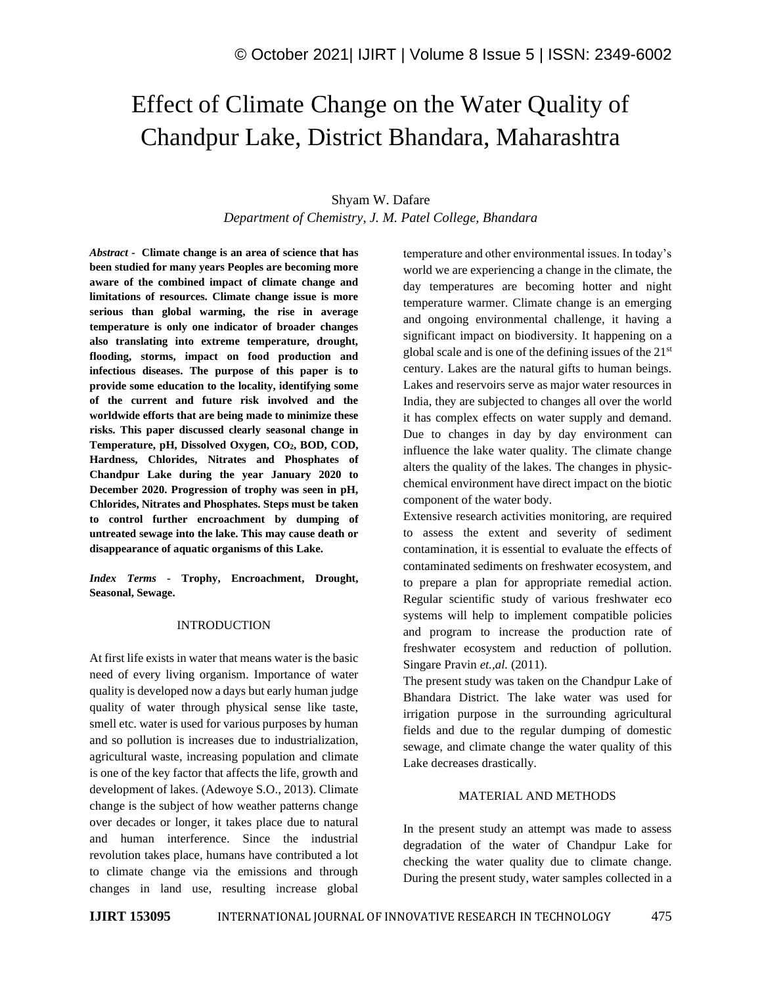# Effect of Climate Change on the Water Quality of Chandpur Lake, District Bhandara, Maharashtra

## Shyam W. Dafare

*Department of Chemistry, J. M. Patel College, Bhandara*

*Abstract -* **Climate change is an area of science that has been studied for many years Peoples are becoming more aware of the combined impact of climate change and limitations of resources. Climate change issue is more serious than global warming, the rise in average temperature is only one indicator of broader changes also translating into extreme temperature, drought, flooding, storms, impact on food production and infectious diseases. The purpose of this paper is to provide some education to the locality, identifying some of the current and future risk involved and the worldwide efforts that are being made to minimize these risks. This paper discussed clearly seasonal change in Temperature, pH, Dissolved Oxygen, CO2, BOD, COD, Hardness, Chlorides, Nitrates and Phosphates of Chandpur Lake during the year January 2020 to December 2020. Progression of trophy was seen in pH, Chlorides, Nitrates and Phosphates. Steps must be taken to control further encroachment by dumping of untreated sewage into the lake. This may cause death or disappearance of aquatic organisms of this Lake.**

*Index Terms -* **Trophy, Encroachment, Drought, Seasonal, Sewage.**

## INTRODUCTION

At first life exists in water that means water is the basic need of every living organism. Importance of water quality is developed now a days but early human judge quality of water through physical sense like taste, smell etc. water is used for various purposes by human and so pollution is increases due to industrialization, agricultural waste, increasing population and climate is one of the key factor that affects the life, growth and development of lakes. (Adewoye S.O., 2013). Climate change is the subject of how weather patterns change over decades or longer, it takes place due to natural and human interference. Since the industrial revolution takes place, humans have contributed a lot to climate change via the emissions and through changes in land use, resulting increase global temperature and other environmental issues. In today's world we are experiencing a change in the climate, the day temperatures are becoming hotter and night temperature warmer. Climate change is an emerging and ongoing environmental challenge, it having a significant impact on biodiversity. It happening on a global scale and is one of the defining issues of the 21st century. Lakes are the natural gifts to human beings. Lakes and reservoirs serve as major water resources in India, they are subjected to changes all over the world it has complex effects on water supply and demand. Due to changes in day by day environment can influence the lake water quality. The climate change alters the quality of the lakes. The changes in physicchemical environment have direct impact on the biotic component of the water body.

Extensive research activities monitoring, are required to assess the extent and severity of sediment contamination, it is essential to evaluate the effects of contaminated sediments on freshwater ecosystem, and to prepare a plan for appropriate remedial action. Regular scientific study of various freshwater eco systems will help to implement compatible policies and program to increase the production rate of freshwater ecosystem and reduction of pollution. Singare Pravin *et.,al.* (2011).

The present study was taken on the Chandpur Lake of Bhandara District. The lake water was used for irrigation purpose in the surrounding agricultural fields and due to the regular dumping of domestic sewage, and climate change the water quality of this Lake decreases drastically.

## MATERIAL AND METHODS

In the present study an attempt was made to assess degradation of the water of Chandpur Lake for checking the water quality due to climate change. During the present study, water samples collected in a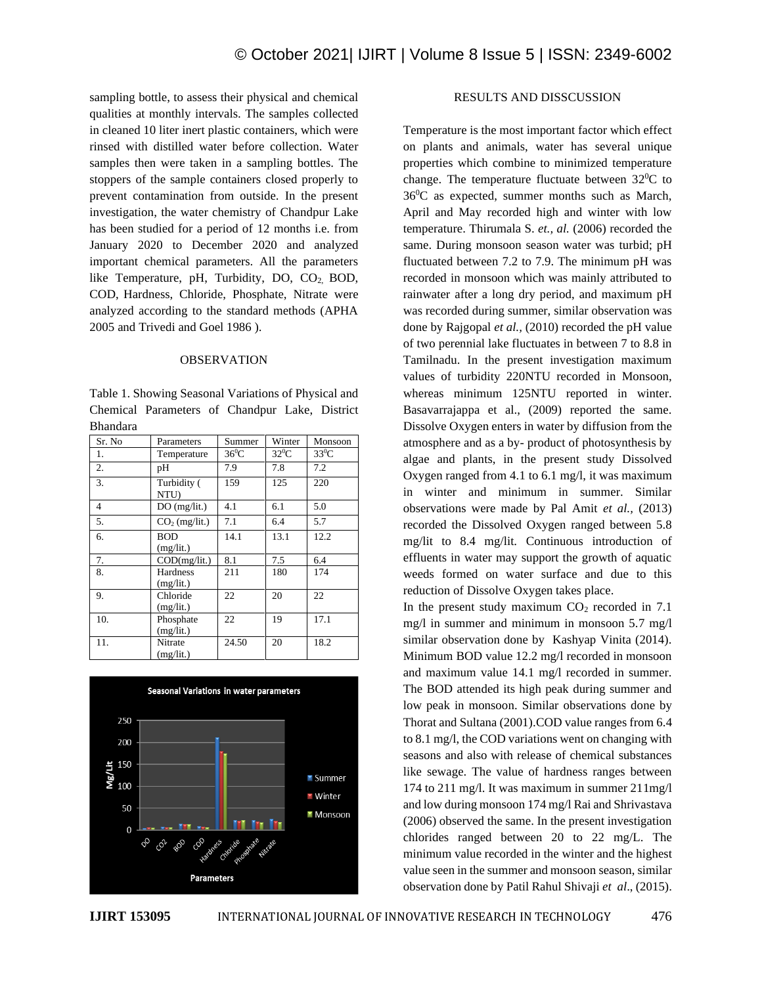sampling bottle, to assess their physical and chemical qualities at monthly intervals. The samples collected in cleaned 10 liter inert plastic containers, which were rinsed with distilled water before collection. Water samples then were taken in a sampling bottles. The stoppers of the sample containers closed properly to prevent contamination from outside. In the present investigation, the water chemistry of Chandpur Lake has been studied for a period of 12 months i.e. from January 2020 to December 2020 and analyzed important chemical parameters. All the parameters like Temperature, pH, Turbidity, DO, CO<sub>2</sub>, BOD, COD, Hardness, Chloride, Phosphate, Nitrate were analyzed according to the standard methods (APHA 2005 and Trivedi and Goel 1986 ).

#### OBSERVATION

Table 1. Showing Seasonal Variations of Physical and Chemical Parameters of Chandpur Lake, District Bhandara

| Sr. No         | Parameters              | Summer   | Winter   | Monsoon |
|----------------|-------------------------|----------|----------|---------|
| 1.             | Temperature             | $36^0$ C | $32^0$ C | $33^0C$ |
| 2.             | pН                      | 7.9      | 7.8      | 7.2     |
| 3.             | Turbidity (<br>NTU)     | 159      | 125      | 220     |
| $\overline{4}$ | DO(mg/lit.)             | 4.1      | 6.1      | 5.0     |
| 5.             | $CO2$ (mg/lit.)         | 7.1      | 6.4      | 5.7     |
| 6.             | <b>BOD</b><br>(mg/lit.) | 14.1     | 13.1     | 12.2    |
| 7.             | COD(mg/lit.)            | 8.1      | 7.5      | 6.4     |
| 8.             | Hardness<br>(mg/lit.)   | 211      | 180      | 174     |
| 9.             | Chloride<br>(mg/lit.)   | 22       | 20       | 22      |
| 10.            | Phosphate<br>(mg/lit.)  | 22       | 19       | 17.1    |
| 11.            | Nitrate<br>(mg/lit.)    | 24.50    | 20       | 18.2    |



## RESULTS AND DISSCUSSION

Temperature is the most important factor which effect on plants and animals, water has several unique properties which combine to minimized temperature change. The temperature fluctuate between  $32^0C$  to  $36^0C$  as expected, summer months such as March, April and May recorded high and winter with low temperature. Thirumala S. *et., al.* (2006) recorded the same. During monsoon season water was turbid; pH fluctuated between 7.2 to 7.9. The minimum pH was recorded in monsoon which was mainly attributed to rainwater after a long dry period, and maximum pH was recorded during summer, similar observation was done by Rajgopal *et al.,* (2010) recorded the pH value of two perennial lake fluctuates in between 7 to 8.8 in Tamilnadu. In the present investigation maximum values of turbidity 220NTU recorded in Monsoon, whereas minimum 125NTU reported in winter. Basavarrajappa et al., (2009) reported the same. Dissolve Oxygen enters in water by diffusion from the atmosphere and as a by- product of photosynthesis by algae and plants, in the present study Dissolved Oxygen ranged from 4.1 to 6.1 mg/l, it was maximum in winter and minimum in summer. Similar observations were made by Pal Amit *et al.,* (2013) recorded the Dissolved Oxygen ranged between 5.8 mg/lit to 8.4 mg/lit. Continuous introduction of effluents in water may support the growth of aquatic weeds formed on water surface and due to this reduction of Dissolve Oxygen takes place.

In the present study maximum  $CO<sub>2</sub>$  recorded in 7.1 mg/l in summer and minimum in monsoon 5.7 mg/l similar observation done by Kashyap Vinita (2014). Minimum BOD value 12.2 mg/l recorded in monsoon and maximum value 14.1 mg/l recorded in summer. The BOD attended its high peak during summer and low peak in monsoon. Similar observations done by Thorat and Sultana (2001).COD value ranges from 6.4 to 8.1 mg/l, the COD variations went on changing with seasons and also with release of chemical substances like sewage. The value of hardness ranges between 174 to 211 mg/l. It was maximum in summer 211mg/l and low during monsoon 174 mg/l Rai and Shrivastava (2006) observed the same. In the present investigation chlorides ranged between 20 to 22 mg/L. The minimum value recorded in the winter and the highest value seen in the summer and monsoon season, similar observation done by Patil Rahul Shivaji *et al*., (2015).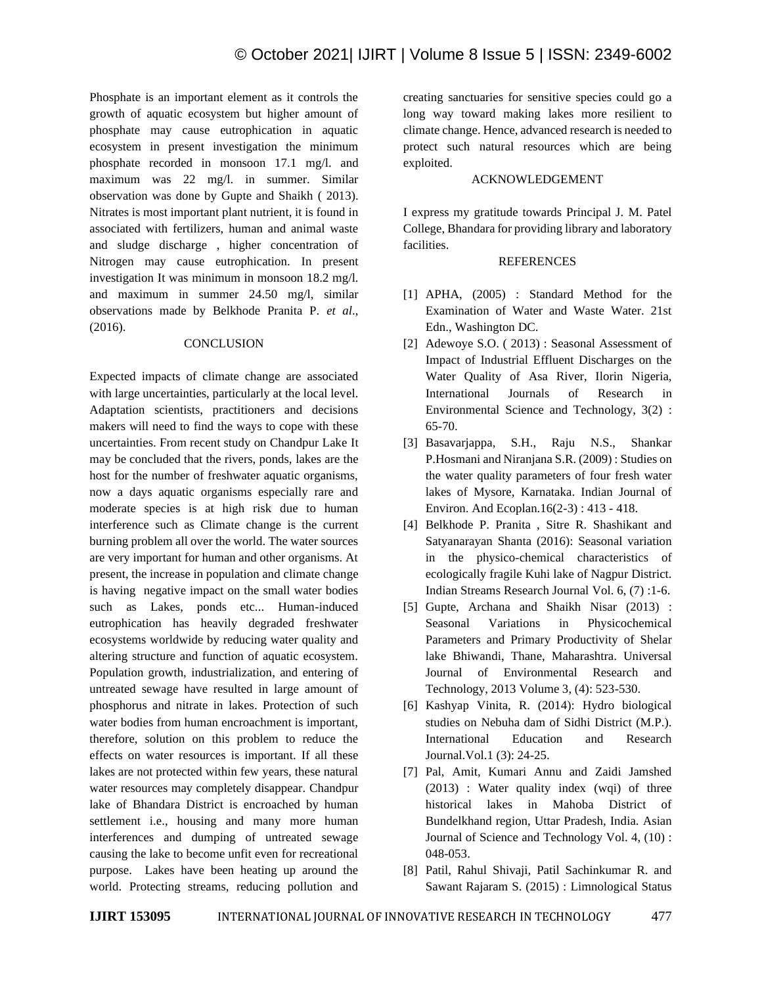Phosphate is an important element as it controls the growth of aquatic ecosystem but higher amount of phosphate may cause eutrophication in aquatic ecosystem in present investigation the minimum phosphate recorded in monsoon 17.1 mg/l. and maximum was 22 mg/l. in summer. Similar observation was done by Gupte and Shaikh ( 2013). Nitrates is most important plant nutrient, it is found in associated with fertilizers, human and animal waste and sludge discharge , higher concentration of Nitrogen may cause eutrophication. In present investigation It was minimum in monsoon 18.2 mg/l. and maximum in summer 24.50 mg/l, similar observations made by Belkhode Pranita P. *et al*., (2016).

## **CONCLUSION**

Expected impacts of climate change are associated with large uncertainties, particularly at the local level. Adaptation scientists, practitioners and decisions makers will need to find the ways to cope with these uncertainties. From recent study on Chandpur Lake It may be concluded that the rivers, ponds, lakes are the host for the number of freshwater aquatic organisms, now a days aquatic organisms especially rare and moderate species is at high risk due to human interference such as Climate change is the current burning problem all over the world. The water sources are very important for human and other organisms. At present, the increase in population and climate change is having negative impact on the small water bodies such as Lakes, ponds etc... Human-induced eutrophication has heavily degraded freshwater ecosystems worldwide by reducing water quality and altering structure and function of aquatic ecosystem. Population growth, industrialization, and entering of untreated sewage have resulted in large amount of phosphorus and nitrate in lakes. Protection of such water bodies from human encroachment is important, therefore, solution on this problem to reduce the effects on water resources is important. If all these lakes are not protected within few years, these natural water resources may completely disappear. Chandpur lake of Bhandara District is encroached by human settlement i.e., housing and many more human interferences and dumping of untreated sewage causing the lake to become unfit even for recreational purpose. Lakes have been heating up around the world. Protecting streams, reducing pollution and

creating sanctuaries for sensitive species could go a long way toward making lakes more resilient to climate change. Hence, advanced research is needed to protect such natural resources which are being exploited.

## ACKNOWLEDGEMENT

I express my gratitude towards Principal J. M. Patel College, Bhandara for providing library and laboratory facilities.

## **REFERENCES**

- [1] APHA, (2005) : Standard Method for the Examination of Water and Waste Water. 21st Edn., Washington DC.
- [2] Adewoye S.O. ( 2013) : Seasonal Assessment of Impact of Industrial Effluent Discharges on the Water Quality of Asa River, Ilorin Nigeria, International Journals of Research in Environmental Science and Technology, 3(2) : 65-70.
- [3] Basavarjappa, S.H., Raju N.S., Shankar P.Hosmani and Niranjana S.R. (2009) : Studies on the water quality parameters of four fresh water lakes of Mysore, Karnataka. Indian Journal of Environ. And Ecoplan.16(2-3) : 413 - 418.
- [4] Belkhode P. Pranita , Sitre R. Shashikant and Satyanarayan Shanta (2016): Seasonal variation in the physico-chemical characteristics of ecologically fragile Kuhi lake of Nagpur District. Indian Streams Research Journal Vol. 6, (7) :1-6.
- [5] Gupte, Archana and Shaikh Nisar (2013) : Seasonal Variations in Physicochemical Parameters and Primary Productivity of Shelar lake Bhiwandi, Thane, Maharashtra. Universal Journal of Environmental Research and Technology, 2013 Volume 3, (4): 523-530.
- [6] Kashyap Vinita, R. (2014): Hydro biological studies on Nebuha dam of Sidhi District (M.P.). International Education and Research Journal.Vol.1 (3): 24-25.
- [7] Pal, Amit, Kumari Annu and Zaidi Jamshed (2013) : Water quality index (wqi) of three historical lakes in Mahoba District of Bundelkhand region, Uttar Pradesh, India. Asian Journal of Science and Technology Vol. 4, (10) : 048-053.
- [8] Patil, Rahul Shivaji, Patil Sachinkumar R. and Sawant Rajaram S. (2015) : Limnological Status